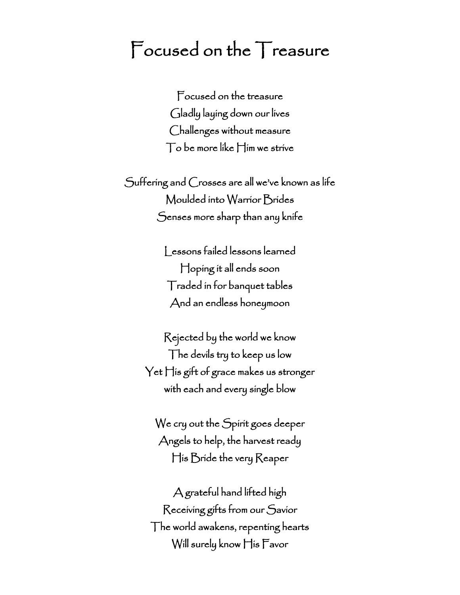## Focused on the Treasure

Focused on the treasure Gladly laying down our lives Challenges without measure To be more like Him we strive

Suffering and Crosses are all we've known as life Moulded into Warrior Brides Senses more sharp than any knife

> Lessons failed lessons learned Hoping it all ends soon Traded in for banquet tables And an endless honeymoon

Rejected by the world we know The devils try to keep us low Yet His gift of grace makes us stronger with each and every single blow

We cry out the Spirit goes deeper Angels to help, the harvest ready His Bride the very Reaper

A grateful hand lifted high Receiving gifts from our Savior The world awakens, repenting hearts Will surely know His Favor